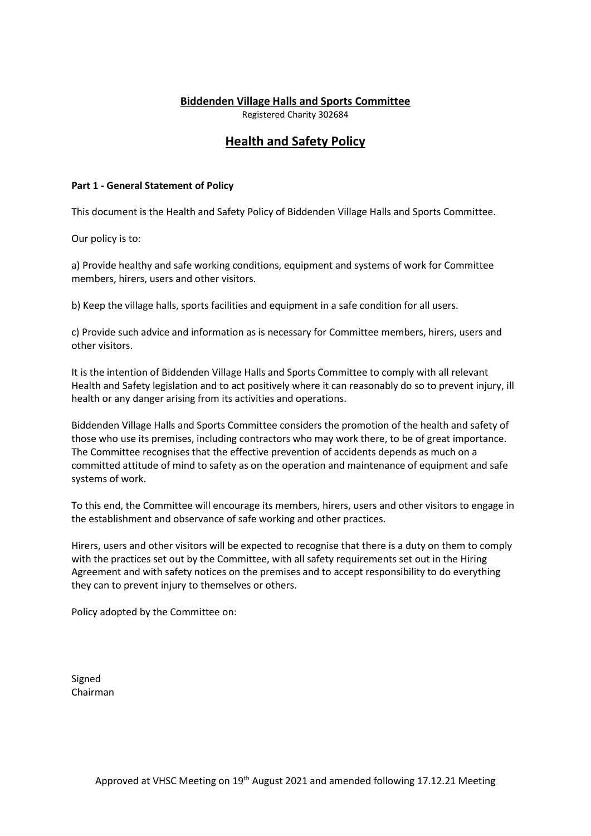## Biddenden Village Halls and Sports Committee

Registered Charity 302684

# Health and Safety Policy

### Part 1 - General Statement of Policy

This document is the Health and Safety Policy of Biddenden Village Halls and Sports Committee.

Our policy is to:

a) Provide healthy and safe working conditions, equipment and systems of work for Committee members, hirers, users and other visitors.

b) Keep the village halls, sports facilities and equipment in a safe condition for all users.

c) Provide such advice and information as is necessary for Committee members, hirers, users and other visitors.

It is the intention of Biddenden Village Halls and Sports Committee to comply with all relevant Health and Safety legislation and to act positively where it can reasonably do so to prevent injury, ill health or any danger arising from its activities and operations.

Biddenden Village Halls and Sports Committee considers the promotion of the health and safety of those who use its premises, including contractors who may work there, to be of great importance. The Committee recognises that the effective prevention of accidents depends as much on a committed attitude of mind to safety as on the operation and maintenance of equipment and safe systems of work.

To this end, the Committee will encourage its members, hirers, users and other visitors to engage in the establishment and observance of safe working and other practices.

Hirers, users and other visitors will be expected to recognise that there is a duty on them to comply with the practices set out by the Committee, with all safety requirements set out in the Hiring Agreement and with safety notices on the premises and to accept responsibility to do everything they can to prevent injury to themselves or others.

Policy adopted by the Committee on:

Signed Chairman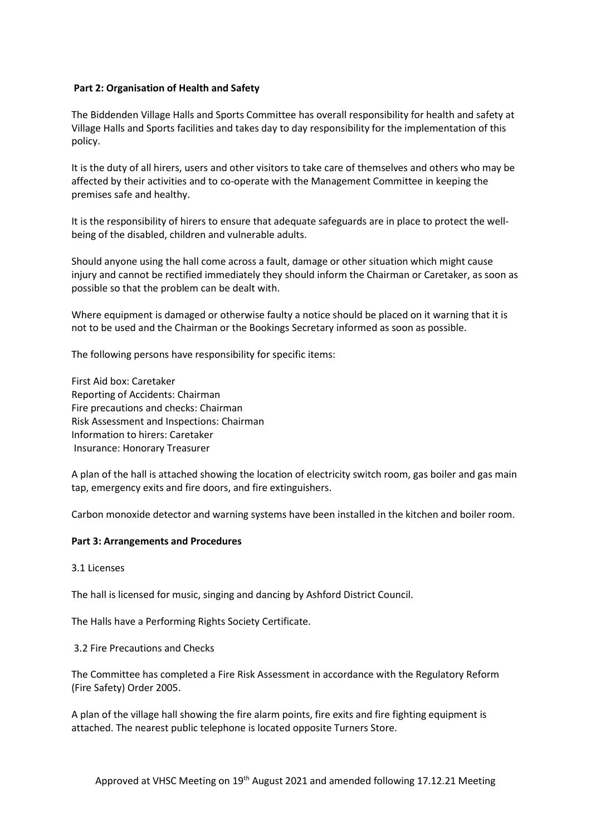### Part 2: Organisation of Health and Safety

The Biddenden Village Halls and Sports Committee has overall responsibility for health and safety at Village Halls and Sports facilities and takes day to day responsibility for the implementation of this policy.

It is the duty of all hirers, users and other visitors to take care of themselves and others who may be affected by their activities and to co-operate with the Management Committee in keeping the premises safe and healthy.

It is the responsibility of hirers to ensure that adequate safeguards are in place to protect the wellbeing of the disabled, children and vulnerable adults.

Should anyone using the hall come across a fault, damage or other situation which might cause injury and cannot be rectified immediately they should inform the Chairman or Caretaker, as soon as possible so that the problem can be dealt with.

Where equipment is damaged or otherwise faulty a notice should be placed on it warning that it is not to be used and the Chairman or the Bookings Secretary informed as soon as possible.

The following persons have responsibility for specific items:

First Aid box: Caretaker Reporting of Accidents: Chairman Fire precautions and checks: Chairman Risk Assessment and Inspections: Chairman Information to hirers: Caretaker Insurance: Honorary Treasurer

A plan of the hall is attached showing the location of electricity switch room, gas boiler and gas main tap, emergency exits and fire doors, and fire extinguishers.

Carbon monoxide detector and warning systems have been installed in the kitchen and boiler room.

#### Part 3: Arrangements and Procedures

3.1 Licenses

The hall is licensed for music, singing and dancing by Ashford District Council.

The Halls have a Performing Rights Society Certificate.

3.2 Fire Precautions and Checks

The Committee has completed a Fire Risk Assessment in accordance with the Regulatory Reform (Fire Safety) Order 2005.

A plan of the village hall showing the fire alarm points, fire exits and fire fighting equipment is attached. The nearest public telephone is located opposite Turners Store.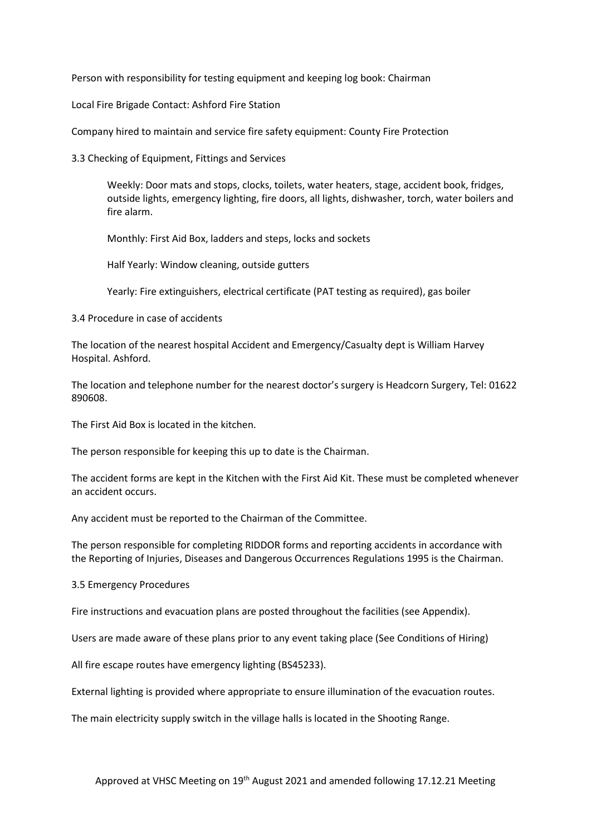Person with responsibility for testing equipment and keeping log book: Chairman

Local Fire Brigade Contact: Ashford Fire Station

Company hired to maintain and service fire safety equipment: County Fire Protection

3.3 Checking of Equipment, Fittings and Services

Weekly: Door mats and stops, clocks, toilets, water heaters, stage, accident book, fridges, outside lights, emergency lighting, fire doors, all lights, dishwasher, torch, water boilers and fire alarm.

Monthly: First Aid Box, ladders and steps, locks and sockets

Half Yearly: Window cleaning, outside gutters

Yearly: Fire extinguishers, electrical certificate (PAT testing as required), gas boiler

3.4 Procedure in case of accidents

The location of the nearest hospital Accident and Emergency/Casualty dept is William Harvey Hospital. Ashford.

The location and telephone number for the nearest doctor's surgery is Headcorn Surgery, Tel: 01622 890608.

The First Aid Box is located in the kitchen.

The person responsible for keeping this up to date is the Chairman.

The accident forms are kept in the Kitchen with the First Aid Kit. These must be completed whenever an accident occurs.

Any accident must be reported to the Chairman of the Committee.

The person responsible for completing RIDDOR forms and reporting accidents in accordance with the Reporting of Injuries, Diseases and Dangerous Occurrences Regulations 1995 is the Chairman.

3.5 Emergency Procedures

Fire instructions and evacuation plans are posted throughout the facilities (see Appendix).

Users are made aware of these plans prior to any event taking place (See Conditions of Hiring)

All fire escape routes have emergency lighting (BS45233).

External lighting is provided where appropriate to ensure illumination of the evacuation routes.

The main electricity supply switch in the village halls is located in the Shooting Range.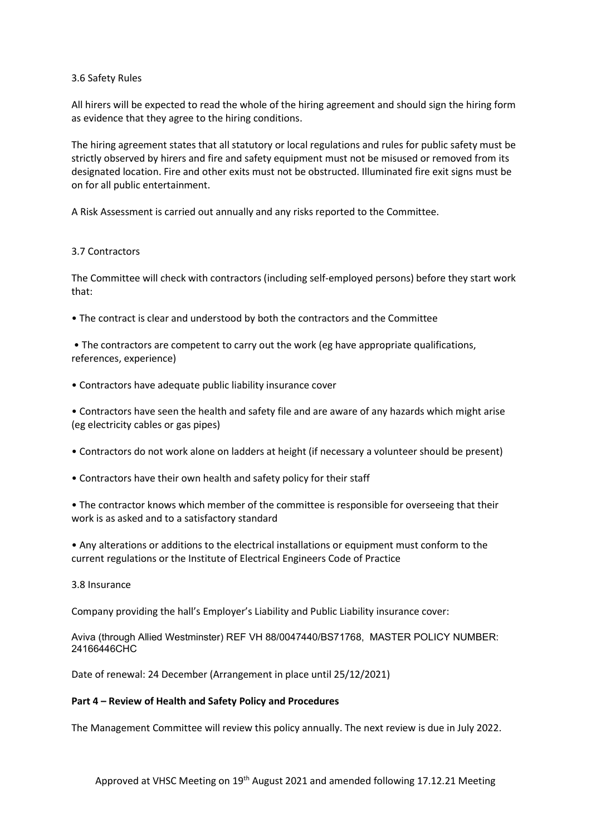#### 3.6 Safety Rules

All hirers will be expected to read the whole of the hiring agreement and should sign the hiring form as evidence that they agree to the hiring conditions.

The hiring agreement states that all statutory or local regulations and rules for public safety must be strictly observed by hirers and fire and safety equipment must not be misused or removed from its designated location. Fire and other exits must not be obstructed. Illuminated fire exit signs must be on for all public entertainment.

A Risk Assessment is carried out annually and any risks reported to the Committee.

#### 3.7 Contractors

The Committee will check with contractors (including self-employed persons) before they start work that:

• The contract is clear and understood by both the contractors and the Committee

 • The contractors are competent to carry out the work (eg have appropriate qualifications, references, experience)

• Contractors have adequate public liability insurance cover

• Contractors have seen the health and safety file and are aware of any hazards which might arise (eg electricity cables or gas pipes)

- Contractors do not work alone on ladders at height (if necessary a volunteer should be present)
- Contractors have their own health and safety policy for their staff

• The contractor knows which member of the committee is responsible for overseeing that their work is as asked and to a satisfactory standard

• Any alterations or additions to the electrical installations or equipment must conform to the current regulations or the Institute of Electrical Engineers Code of Practice

3.8 Insurance

Company providing the hall's Employer's Liability and Public Liability insurance cover:

Aviva (through Allied Westminster) REF VH 88/0047440/BS71768, MASTER POLICY NUMBER: 24166446CHC

Date of renewal: 24 December (Arrangement in place until 25/12/2021)

#### Part 4 – Review of Health and Safety Policy and Procedures

The Management Committee will review this policy annually. The next review is due in July 2022.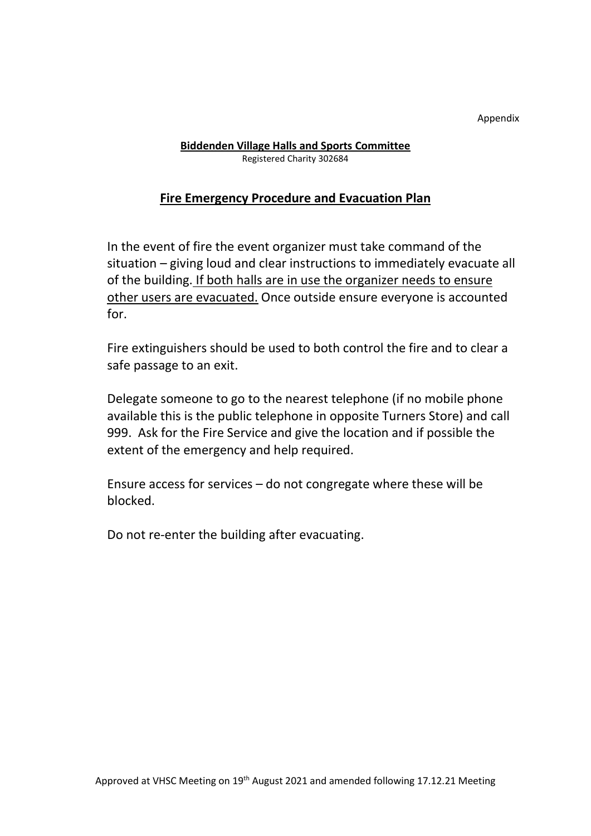Appendix

## Biddenden Village Halls and Sports Committee Registered Charity 302684

# Fire Emergency Procedure and Evacuation Plan

In the event of fire the event organizer must take command of the situation – giving loud and clear instructions to immediately evacuate all of the building. If both halls are in use the organizer needs to ensure other users are evacuated. Once outside ensure everyone is accounted for.

Fire extinguishers should be used to both control the fire and to clear a safe passage to an exit.

Delegate someone to go to the nearest telephone (if no mobile phone available this is the public telephone in opposite Turners Store) and call 999. Ask for the Fire Service and give the location and if possible the extent of the emergency and help required.

Ensure access for services – do not congregate where these will be blocked.

Do not re-enter the building after evacuating.